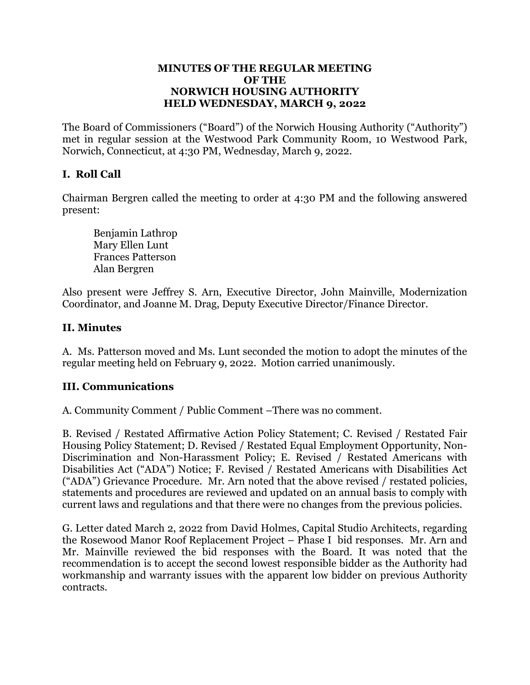#### **MINUTES OF THE REGULAR MEETING OF THE NORWICH HOUSING AUTHORITY HELD WEDNESDAY, MARCH 9, 2022**

The Board of Commissioners ("Board") of the Norwich Housing Authority ("Authority") met in regular session at the Westwood Park Community Room, 10 Westwood Park, Norwich, Connecticut, at 4:30 PM, Wednesday, March 9, 2022.

# **I. Roll Call**

Chairman Bergren called the meeting to order at 4:30 PM and the following answered present:

 Benjamin Lathrop Mary Ellen Lunt Frances Patterson Alan Bergren

Also present were Jeffrey S. Arn, Executive Director, John Mainville, Modernization Coordinator, and Joanne M. Drag, Deputy Executive Director/Finance Director.

### **II. Minutes**

A. Ms. Patterson moved and Ms. Lunt seconded the motion to adopt the minutes of the regular meeting held on February 9, 2022. Motion carried unanimously.

#### **III. Communications**

A. Community Comment / Public Comment –There was no comment.

B. Revised / Restated Affirmative Action Policy Statement; C. Revised / Restated Fair Housing Policy Statement; D. Revised / Restated Equal Employment Opportunity, Non-Discrimination and Non-Harassment Policy; E. Revised / Restated Americans with Disabilities Act ("ADA") Notice; F. Revised / Restated Americans with Disabilities Act ("ADA") Grievance Procedure. Mr. Arn noted that the above revised / restated policies, statements and procedures are reviewed and updated on an annual basis to comply with current laws and regulations and that there were no changes from the previous policies.

G. Letter dated March 2, 2022 from David Holmes, Capital Studio Architects, regarding the Rosewood Manor Roof Replacement Project – Phase I bid responses. Mr. Arn and Mr. Mainville reviewed the bid responses with the Board. It was noted that the recommendation is to accept the second lowest responsible bidder as the Authority had workmanship and warranty issues with the apparent low bidder on previous Authority contracts.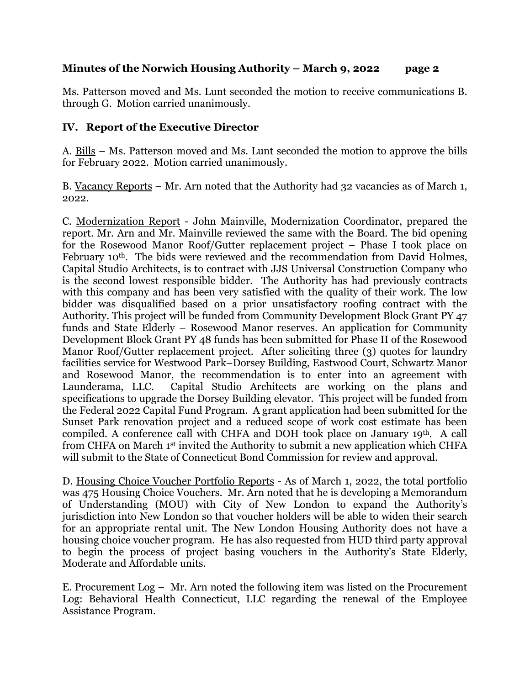### **Minutes of the Norwich Housing Authority – March 9, 2022 page 2**

Ms. Patterson moved and Ms. Lunt seconded the motion to receive communications B. through G. Motion carried unanimously.

### **IV. Report of the Executive Director**

A. Bills – Ms. Patterson moved and Ms. Lunt seconded the motion to approve the bills for February 2022. Motion carried unanimously.

B. Vacancy Reports – Mr. Arn noted that the Authority had 32 vacancies as of March 1, 2022.

C. Modernization Report - John Mainville, Modernization Coordinator, prepared the report. Mr. Arn and Mr. Mainville reviewed the same with the Board. The bid opening for the Rosewood Manor Roof/Gutter replacement project – Phase I took place on February 10<sup>th</sup>. The bids were reviewed and the recommendation from David Holmes, Capital Studio Architects, is to contract with JJS Universal Construction Company who is the second lowest responsible bidder. The Authority has had previously contracts with this company and has been very satisfied with the quality of their work. The low bidder was disqualified based on a prior unsatisfactory roofing contract with the Authority. This project will be funded from Community Development Block Grant PY 47 funds and State Elderly – Rosewood Manor reserves. An application for Community Development Block Grant PY 48 funds has been submitted for Phase II of the Rosewood Manor Roof/Gutter replacement project. After soliciting three (3) quotes for laundry facilities service for Westwood Park–Dorsey Building, Eastwood Court, Schwartz Manor and Rosewood Manor, the recommendation is to enter into an agreement with Launderama, LLC. Capital Studio Architects are working on the plans and specifications to upgrade the Dorsey Building elevator. This project will be funded from the Federal 2022 Capital Fund Program. A grant application had been submitted for the Sunset Park renovation project and a reduced scope of work cost estimate has been compiled. A conference call with CHFA and DOH took place on January 19th. A call from CHFA on March 1st invited the Authority to submit a new application which CHFA will submit to the State of Connecticut Bond Commission for review and approval.

D. Housing Choice Voucher Portfolio Reports - As of March 1, 2022, the total portfolio was 475 Housing Choice Vouchers. Mr. Arn noted that he is developing a Memorandum of Understanding (MOU) with City of New London to expand the Authority's jurisdiction into New London so that voucher holders will be able to widen their search for an appropriate rental unit. The New London Housing Authority does not have a housing choice voucher program. He has also requested from HUD third party approval to begin the process of project basing vouchers in the Authority's State Elderly, Moderate and Affordable units.

E. Procurement Log – Mr. Arn noted the following item was listed on the Procurement Log: Behavioral Health Connecticut, LLC regarding the renewal of the Employee Assistance Program.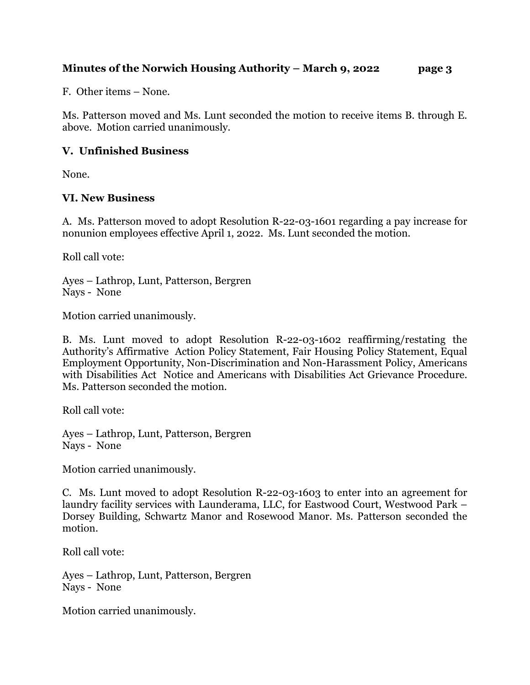### **Minutes of the Norwich Housing Authority – March 9, 2022 page 3**

F. Other items – None.

Ms. Patterson moved and Ms. Lunt seconded the motion to receive items B. through E. above. Motion carried unanimously.

## **V. Unfinished Business**

None.

## **VI. New Business**

A. Ms. Patterson moved to adopt Resolution R-22-03-1601 regarding a pay increase for nonunion employees effective April 1, 2022. Ms. Lunt seconded the motion.

Roll call vote:

Ayes – Lathrop, Lunt, Patterson, Bergren Nays - None

Motion carried unanimously.

B. Ms. Lunt moved to adopt Resolution R-22-03-1602 reaffirming/restating the Authority's Affirmative Action Policy Statement, Fair Housing Policy Statement, Equal Employment Opportunity, Non-Discrimination and Non-Harassment Policy, Americans with Disabilities Act Notice and Americans with Disabilities Act Grievance Procedure. Ms. Patterson seconded the motion.

Roll call vote:

Ayes – Lathrop, Lunt, Patterson, Bergren Nays - None

Motion carried unanimously.

C. Ms. Lunt moved to adopt Resolution R-22-03-1603 to enter into an agreement for laundry facility services with Launderama, LLC, for Eastwood Court, Westwood Park – Dorsey Building, Schwartz Manor and Rosewood Manor. Ms. Patterson seconded the motion.

Roll call vote:

Ayes – Lathrop, Lunt, Patterson, Bergren Nays - None

Motion carried unanimously.